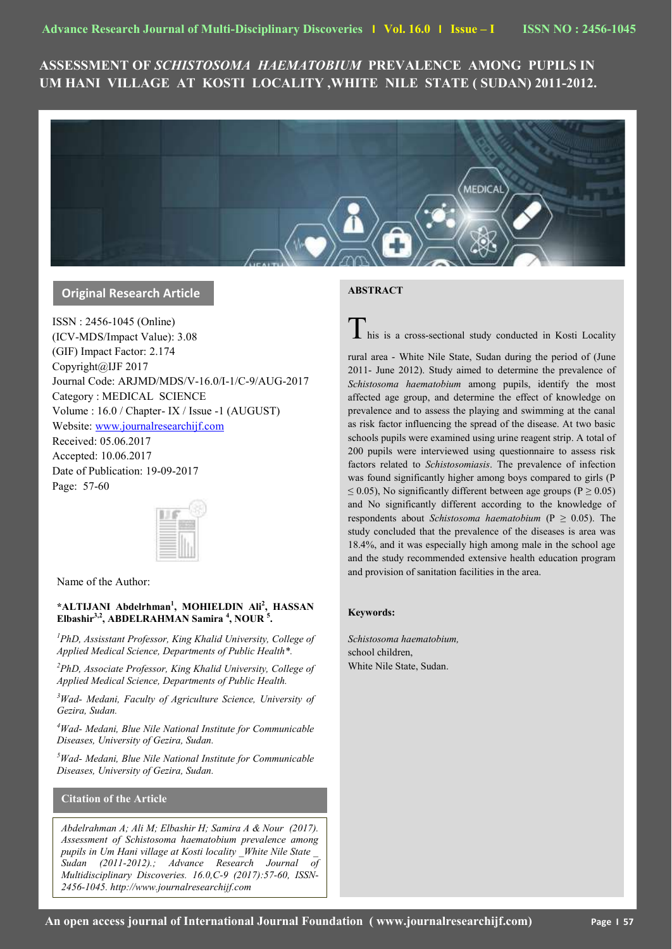# **ASSESSMENT OF** *SCHISTOSOMA HAEMATOBIUM* **PREVALENCE AMONG PUPILS IN UM HANI VILLAGE AT KOSTI LOCALITY ,WHITE NILE STATE ( SUDAN) 2011-2012.**



# **Original Research Article**

ISSN : 2456-1045 (Online) (ICV-MDS/Impact Value): 3.08 (GIF) Impact Factor: 2.174 Copyright@IJF 2017 Journal Code: ARJMD/MDS/V-16.0/I-1/C-9/AUG-2017 Category : MEDICAL SCIENCE Volume : 16.0 / Chapter- IX / Issue -1 (AUGUST) Website: [www.journalresearchijf.com](http://www.journalresearchijf.com/) Received: 05.06.2017 Accepted: 10.06.2017 Date of Publication: 19-09-2017 Page: 57-60



Name of the Author:

## **\*ALTIJANI Abdelrhman<sup>1</sup> , MOHIELDIN Ali<sup>2</sup> , HASSAN Elbashir3,2, ABDELRAHMAN Samira <sup>4</sup> , NOUR <sup>5</sup> .**

*<sup>1</sup>PhD, Assisstant Professor, King Khalid University, College of Applied Medical Science, Departments of Public Health\*.* 

*<sup>2</sup>PhD, Associate Professor, King Khalid University, College of Applied Medical Science, Departments of Public Health.* 

*<sup>3</sup>Wad- Medani, Faculty of Agriculture Science, University of Gezira, Sudan.*

*<sup>4</sup>Wad- Medani, Blue Nile National Institute for Communicable Diseases, University of Gezira, Sudan.*

*<sup>5</sup>Wad- Medani, Blue Nile National Institute for Communicable Diseases, University of Gezira, Sudan.*

# **Citation of the Article**

*Abdelrahman A; Ali M; Elbashir H; Samira A & Nour (2017). Assessment of Schistosoma haematobium prevalence among pupils in Um Hani village at Kosti locality \_White Nile State \_ Sudan (2011-2012).; Advance Research Journal of Multidisciplinary Discoveries. 16.0,C-9 (2017):57-60, ISSN-2456-1045. http://www.journalresearchijf.com***e;**

## **ABSTRACT**

 $\blacksquare$  his is a cross-sectional study conducted in Kosti Locality

rural area - White Nile State, Sudan during the period of (June 2011- June 2012). Study aimed to determine the prevalence of *Schistosoma haematobium* among pupils, identify the most affected age group, and determine the effect of knowledge on prevalence and to assess the playing and swimming at the canal as risk factor influencing the spread of the disease. At two basic schools pupils were examined using urine reagent strip. A total of 200 pupils were interviewed using questionnaire to assess risk factors related to *Schistosomiasis*. The prevalence of infection was found significantly higher among boys compared to girls (P  $\leq$  0.05), No significantly different between age groups (P  $\geq$  0.05) and No significantly different according to the knowledge of respondents about *Schistosoma haematobium* ( $P \ge 0.05$ ). The study concluded that the prevalence of the diseases is area was 18.4%, and it was especially high among male in the school age and the study recommended extensive health education program and provision of sanitation facilities in the area.

### **Keywords:**

*Schistosoma haematobium,*  school children, White Nile State, Sudan.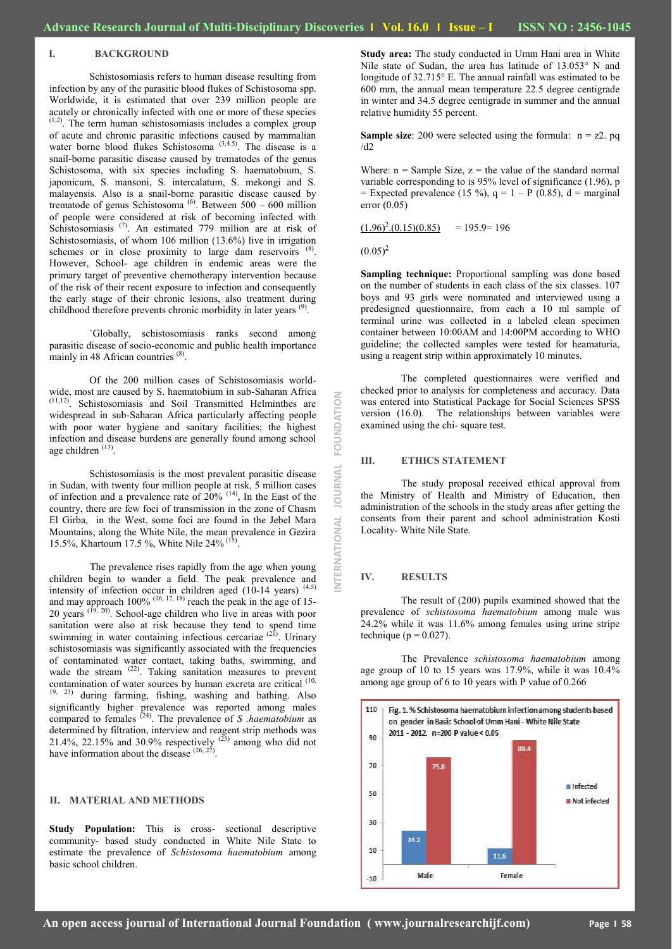#### **I. BACKGROUND**

Schistosomiasis refers to human disease resulting from infection by any of the parasitic blood flukes of Schistosoma spp. Worldwide, it is estimated that over 239 million people are acutely or chronically infected with one or more of these species  $(1,2)$ . The term human schistosomiasis includes a complex group of acute and chronic parasitic infections caused by mammalian water borne blood flukes Schistosoma<sup>(3,4.5)</sup>. The disease is a snail-borne parasitic disease caused by trematodes of the genus Schistosoma, with six species including S. haematobium, S. japonicum, S. mansoni, S. intercalatum, S. mekongi and S. malayensis. Also is a snail-borne parasitic disease caused by trematode of genus Schistosoma<sup>(6)</sup>. Between  $500 - 600$  million of people were considered at risk of becoming infected with Schistosomiasis<sup>(7)</sup>. An estimated 779 million are at risk of Schistosomiasis, of whom 106 million (13.6%) live in irrigation schemes or in close proximity to large dam reservoirs  $(8)$ . However, School- age children in endemic areas were the primary target of preventive chemotherapy intervention because of the risk of their recent exposure to infection and consequently the early stage of their chronic lesions, also treatment during childhood therefore prevents chronic morbidity in later years <sup>(9)</sup>.

`Globally, schistosomiasis ranks second among parasitic disease of socio-economic and public health importance mainly in 48 African countries <sup>(8)</sup>.

Of the 200 million cases of Schistosomiasis worldwide, most are caused by S. haematobium in sub-Saharan Africa  $(1,12)$  Sobietosomiasis, and Soil Transmitted Helminter Schistosomiasis and Soil Transmitted Helminthes are widespread in sub-Saharan Africa particularly affecting people with poor water hygiene and sanitary facilities; the highest infection and disease burdens are generally found among school age children <sup>(13)</sup>.

Schistosomiasis is the most prevalent parasitic disease in Sudan, with twenty four million people at risk, 5 million cases of infection and a prevalence rate of  $20\%$  <sup>(14)</sup>, In the East of the country, there are few foci of transmission in the zone of Chasm El Girba, in the West, some foci are found in the Jebel Mara Mountains, along the White Nile, the mean prevalence in Gezira 15.5%, Khartoum 17.5 %, White Nile 24% (15) .

The prevalence rises rapidly from the age when young children begin to wander a field. The peak prevalence and intensity of infection occur in children aged  $(10-14 \text{ years})$   $(4,5)$ and may approach  $100\%$  <sup>(16, 17, 18)</sup> reach the peak in the age of 15-20 years  $(19, 20)$ . School-age children who live in areas with poor sanitation were also at risk because they tend to spend time swimming in water containing infectious cercariae <sup>(21)</sup>. Urinary schistosomiasis was significantly associated with the frequencies of contaminated water contact, taking baths, swimming, and wade the stream  $(22)$ . Taking sanitation measures to prevent contamination of water sources by human excreta are critical <sup>(10,</sup> 19, 23) during farming, fishing, washing and bathing. Also significantly higher prevalence was reported among males compared to females  $^{(24)}$ . The prevalence of *S* .haematobium as determined by filtration, interview and reagent strip methods was 21.4%, 22.15% and 30.9% respectively  $^{(25)}$  among who did not have information about the disease  $(26, 27)$ .

#### **II. MATERIAL AND METHODS**

**Study Population:** This is cross- sectional descriptive community- based study conducted in White Nile State to estimate the prevalence of *Schistosoma haematobium* among basic school children.

**Study area:** The study conducted in Umm Hani area in White Nile state of Sudan, the area has latitude of 13.053° N and longitude of 32.715° E. The annual rainfall was estimated to be 600 mm, the annual mean temperature 22.5 degree centigrade in winter and 34.5 degree centigrade in summer and the annual relative humidity 55 percent.

**Sample size**: 200 were selected using the formula:  $n = z^2$ . pq  $/d2$ 

Where:  $n =$  Sample Size,  $z =$  the value of the standard normal variable corresponding to is 95% level of significance (1.96), p = Expected prevalence (15 %),  $q = 1 - P(0.85)$ , d = marginal error (0.05)

 $(1.96)^2$ . $(0.15)(0.85)$  $= 195.9 = 196$ 

 $(0.05)^2$ 

**Sampling technique:** Proportional sampling was done based on the number of students in each class of the six classes. 107 boys and 93 girls were nominated and interviewed using a predesigned questionnaire, from each a 10 ml sample of terminal urine was collected in a labeled clean specimen container between 10:00AM and 14:00PM according to WHO guideline; the collected samples were tested for heamaturia, using a reagent strip within approximately 10 minutes.

The completed questionnaires were verified and checked prior to analysis for completeness and accuracy. Data was entered into Statistical Package for Social Sciences SPSS version (16.0). The relationships between variables were examined using the chi- square test.

#### **III. ETHICS STATEMENT**

The study proposal received ethical approval from the Ministry of Health and Ministry of Education, then administration of the schools in the study areas after getting the consents from their parent and school administration Kosti Locality- White Nile State.

#### **IV. RESULTS**

**INTERNATIONAL JOURNAL FOUNDATION**

**JOURNAL** 

**VTERNATIONAL** 

FOUNDATION

The result of (200) pupils examined showed that the prevalence of *schistosoma haematobium* among male was 24.2% while it was 11.6% among females using urine stripe technique ( $p = 0.027$ ).

The Prevalence *schistosoma haematobium* among age group of 10 to 15 years was 17.9%, while it was 10.4% among age group of 6 to 10 years with P value of 0.266

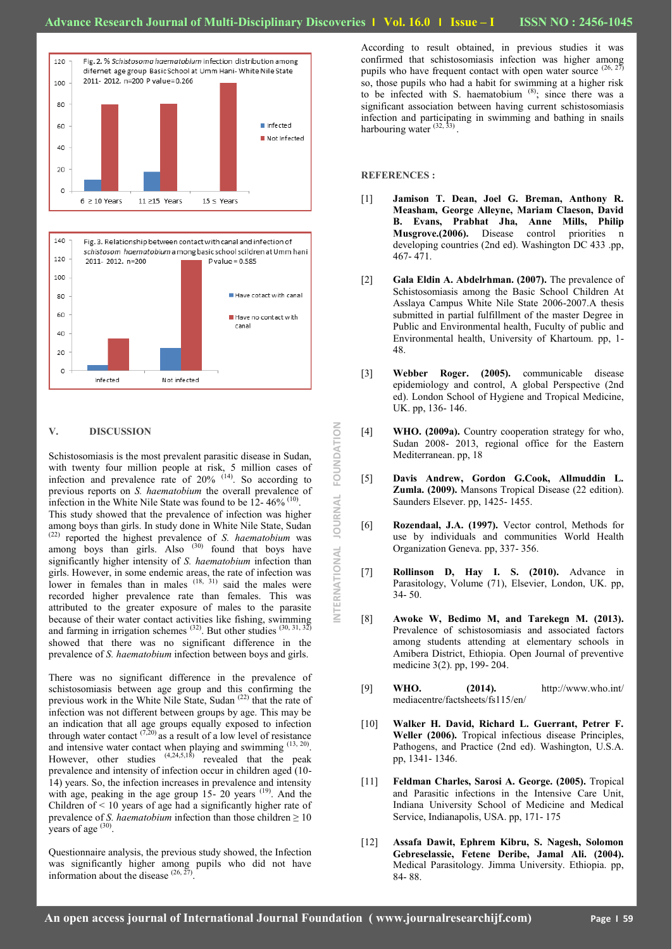**INTERNATIONAL JOURNAL FOUNDATION**

ERNATIONAL

**IOURNAL** 

FOUNDATION





#### **V. DISCUSSION**

Schistosomiasis is the most prevalent parasitic disease in Sudan, with twenty four million people at risk, 5 million cases of infection and prevalence rate of  $20\%$  <sup>(14)</sup>. So according to previous reports on *S. haematobium* the overall prevalence of infection in the White Nile State was found to be  $12 - 46\%$  (10). This study showed that the prevalence of infection was higher among boys than girls. In study done in White Nile State, Sudan (22) reported the highest prevalence of *S. haematobium* was among boys than girls. Also  $(30)$  found that boys have significantly higher intensity of *S. haematobium* infection than girls. However, in some endemic areas, the rate of infection was lower in females than in males  $(18, 31)$  said the males were recorded higher prevalence rate than females. This was attributed to the greater exposure of males to the parasite because of their water contact activities like fishing, swimming and farming in irrigation schemes  $^{(32)}$ . But other studies  $^{(30, 31, 32)}$ showed that there was no significant difference in the prevalence of *S. haematobium* infection between boys and girls.

There was no significant difference in the prevalence of schistosomiasis between age group and this confirming the previous work in the White Nile State, Sudan <sup>(22)</sup> that the rate of infection was not different between groups by age. This may be an indication that all age groups equally exposed to infection through water contact  $(7,20)$  as a result of a low level of resistance and intensive water contact when playing and swimming  $(13, 20)$ . However, other studies  $(4,24,5,18)$  revealed that the peak prevalence and intensity of infection occur in children aged (10- 14) years. So, the infection increases in prevalence and intensity with age, peaking in the age group 15- 20 years <sup>(19)</sup>. And the Children of < 10 years of age had a significantly higher rate of prevalence of *S. haematobium* infection than those children  $\geq 10$ years of age  $(30)$ .

Questionnaire analysis, the previous study showed, the Infection was significantly higher among pupils who did not have information about the disease  $(26, 27)$ .

According to result obtained, in previous studies it was confirmed that schistosomiasis infection was higher among pupils who have frequent contact with open water source  $(26, 27)$ so, those pupils who had a habit for swimming at a higher risk to be infected with S. haematobium (8); since there was a significant association between having current schistosomiasis infection and participating in swimming and bathing in snails harbouring water  $(32, 33)$ .

#### **REFERENCES :**

- [1] **Jamison T. Dean, Joel G. Breman, Anthony R. Measham, George Alleyne, Mariam Claeson, David B. Evans, Prabhat Jha, Anne Mills, Philip Musgrove.(2006).** Disease control priorities n developing countries (2nd ed). Washington DC 433 .pp, 467- 471.
- [2] **Gala Eldin A. Abdelrhman. (2007).** The prevalence of Schistosomiasis among the Basic School Children At Asslaya Campus White Nile State 2006-2007.A thesis submitted in partial fulfillment of the master Degree in Public and Environmental health, Fuculty of public and Environmental health, University of Khartoum. pp, 1- 48.
- [3] **Webber Roger. (2005).** communicable disease epidemiology and control, A global Perspective (2nd ed). London School of Hygiene and Tropical Medicine, UK. pp, 136- 146.
- [4] **WHO. (2009a).** Country cooperation strategy for who, Sudan 2008- 2013, regional office for the Eastern Mediterranean. pp, 18
- [5] **Davis Andrew, Gordon G.Cook, Allmuddin L. Zumla. (2009).** Mansons Tropical Disease (22 edition). Saunders Elsever. pp, 1425- 1455.
- [6] **Rozendaal, J.A. (1997).** Vector control, Methods for use by individuals and communities World Health Organization Geneva. pp, 337- 356.
- [7] **Rollinson D, Hay I. S. (2010).** Advance in Parasitology, Volume (71), Elsevier, London, UK. pp, 34- 50.
- [8] **Awoke W, Bedimo M, and Tarekegn M. (2013).** Prevalence of schistosomiasis and associated factors among students attending at elementary schools in Amibera District, Ethiopia. Open Journal of preventive medicine 3(2). pp, 199- 204.
- [9] **WHO. (2014).** http://www.who.int/ mediacentre/factsheets/fs115/en/
- [10] **Walker H. David, Richard L. Guerrant, Petrer F. Weller (2006).** Tropical infectious disease Principles, Pathogens, and Practice (2nd ed). Washington, U.S.A. pp, 1341- 1346.
- [11] **Feldman Charles, Sarosi A. George. (2005).** Tropical and Parasitic infections in the Intensive Care Unit, Indiana University School of Medicine and Medical Service, Indianapolis, USA. pp, 171- 175
- [12] **Assafa Dawit, Ephrem Kibru, S. Nagesh, Solomon Gebreselassie, Fetene Deribe, Jamal Ali. (2004).** Medical Parasitology. Jimma University. Ethiopia. pp, 84- 88.